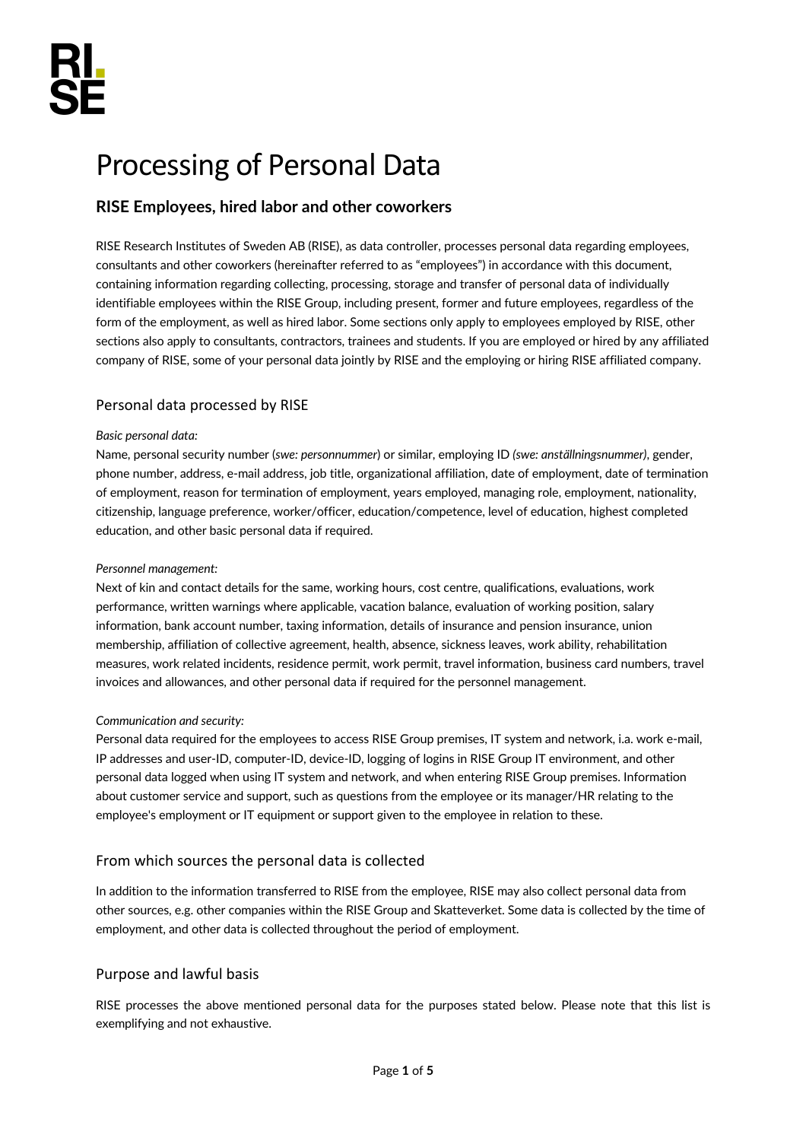# Processing of Personal Data

## **RISE Employees, hired labor and other coworkers**

RISE Research Institutes of Sweden AB (RISE), as data controller, processes personal data regarding employees, consultants and other coworkers (hereinafter referred to as "employees") in accordance with this document, containing information regarding collecting, processing, storage and transfer of personal data of individually identifiable employees within the RISE Group, including present, former and future employees, regardless of the form of the employment, as well as hired labor. Some sections only apply to employees employed by RISE, other sections also apply to consultants, contractors, trainees and students. If you are employed or hired by any affiliated company of RISE, some of your personal data jointly by RISE and the employing or hiring RISE affiliated company.

## Personal data processed by RISE

#### *Basic personal data:*

Name, personal security number (*swe: personnummer*) or similar, employing ID *(swe: anställningsnummer)*, gender, phone number, address, e-mail address, job title, organizational affiliation, date of employment, date of termination of employment, reason for termination of employment, years employed, managing role, employment, nationality, citizenship, language preference, worker/officer, education/competence, level of education, highest completed education, and other basic personal data if required.

#### *Personnel management:*

Next of kin and contact details for the same, working hours, cost centre, qualifications, evaluations, work performance, written warnings where applicable, vacation balance, evaluation of working position, salary information, bank account number, taxing information, details of insurance and pension insurance, union membership, affiliation of collective agreement, health, absence, sickness leaves, work ability, rehabilitation measures, work related incidents, residence permit, work permit, travel information, business card numbers, travel invoices and allowances, and other personal data if required for the personnel management.

#### *Communication and security:*

Personal data required for the employees to access RISE Group premises, IT system and network, i.a. work e-mail, IP addresses and user-ID, computer-ID, device-ID, logging of logins in RISE Group IT environment, and other personal data logged when using IT system and network, and when entering RISE Group premises. Information about customer service and support, such as questions from the employee or its manager/HR relating to the employee's employment or IT equipment or support given to the employee in relation to these.

## From which sources the personal data is collected

In addition to the information transferred to RISE from the employee, RISE may also collect personal data from other sources, e.g. other companies within the RISE Group and Skatteverket. Some data is collected by the time of employment, and other data is collected throughout the period of employment.

## Purpose and lawful basis

RISE processes the above mentioned personal data for the purposes stated below. Please note that this list is exemplifying and not exhaustive.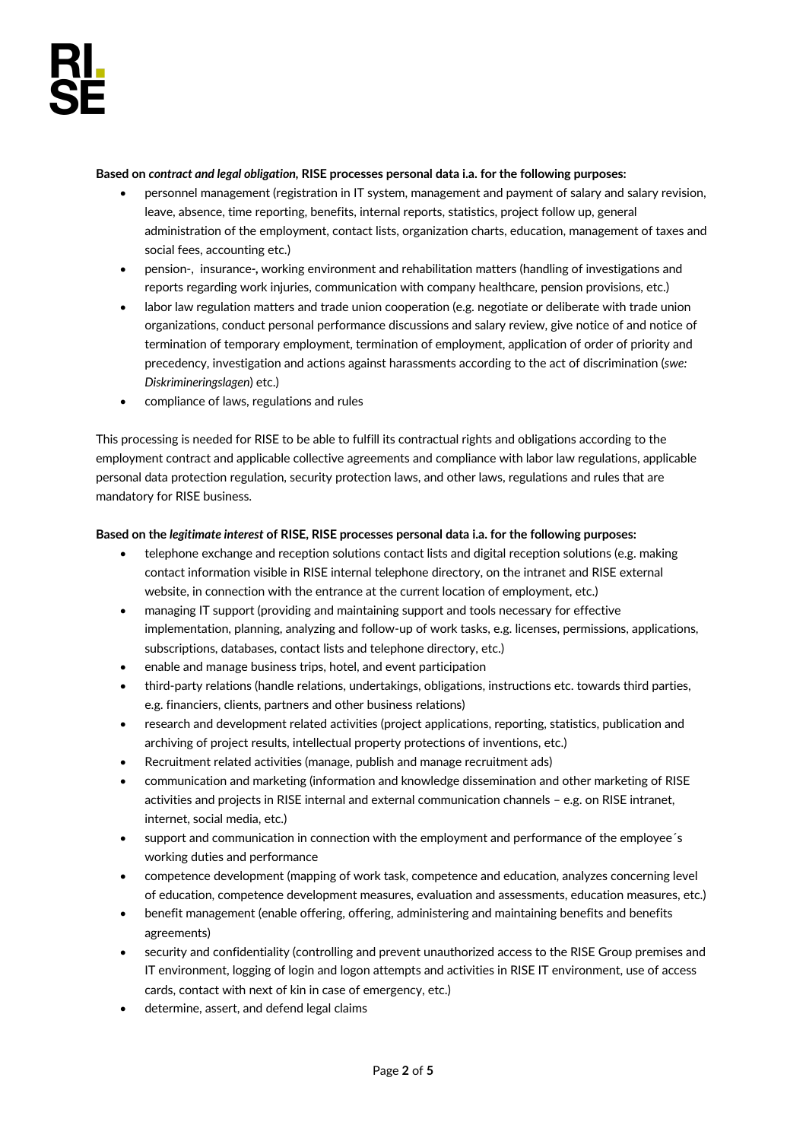#### **Based on** *contract and legal obligation,* **RISE processes personal data i.a. for the following purposes:**

- personnel management (registration in IT system, management and payment of salary and salary revision, leave, absence, time reporting, benefits, internal reports, statistics, project follow up, general administration of the employment, contact lists, organization charts, education, management of taxes and social fees, accounting etc.)
- pension-, insurance*-,* working environment and rehabilitation matters (handling of investigations and reports regarding work injuries, communication with company healthcare, pension provisions, etc.)
- labor law regulation matters and trade union cooperation (e.g. negotiate or deliberate with trade union organizations, conduct personal performance discussions and salary review, give notice of and notice of termination of temporary employment, termination of employment, application of order of priority and precedency, investigation and actions against harassments according to the act of discrimination (*swe: Diskrimineringslagen*) etc.)
- compliance of laws, regulations and rules

This processing is needed for RISE to be able to fulfill its contractual rights and obligations according to the employment contract and applicable collective agreements and compliance with labor law regulations, applicable personal data protection regulation, security protection laws, and other laws, regulations and rules that are mandatory for RISE business.

#### **Based on the** *legitimate interest* **of RISE, RISE processes personal data i.a. for the following purposes:**

- telephone exchange and reception solutions contact lists and digital reception solutions (e.g. making contact information visible in RISE internal telephone directory, on the intranet and RISE external website, in connection with the entrance at the current location of employment, etc.)
- managing IT support (providing and maintaining support and tools necessary for effective implementation, planning, analyzing and follow-up of work tasks, e.g. licenses, permissions, applications, subscriptions, databases, contact lists and telephone directory, etc.)
- enable and manage business trips, hotel, and event participation
- third-party relations (handle relations, undertakings, obligations, instructions etc. towards third parties, e.g. financiers, clients, partners and other business relations)
- research and development related activities (project applications, reporting, statistics, publication and archiving of project results, intellectual property protections of inventions, etc.)
- Recruitment related activities (manage, publish and manage recruitment ads)
- communication and marketing (information and knowledge dissemination and other marketing of RISE activities and projects in RISE internal and external communication channels – e.g. on RISE intranet, internet, social media, etc.)
- support and communication in connection with the employment and performance of the employee's working duties and performance
- competence development (mapping of work task, competence and education, analyzes concerning level of education, competence development measures, evaluation and assessments, education measures, etc.)
- benefit management (enable offering, offering, administering and maintaining benefits and benefits agreements)
- security and confidentiality (controlling and prevent unauthorized access to the RISE Group premises and IT environment, logging of login and logon attempts and activities in RISE IT environment, use of access cards, contact with next of kin in case of emergency, etc.)
- determine, assert, and defend legal claims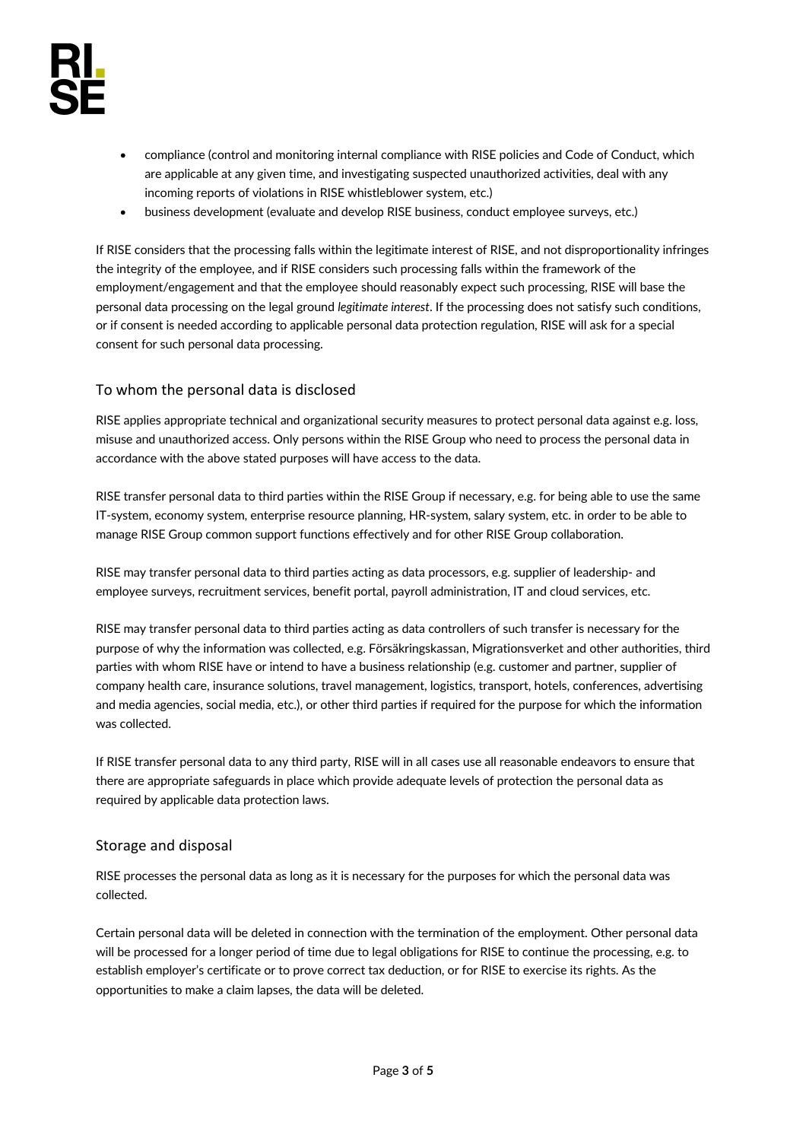- compliance (control and monitoring internal compliance with RISE policies and Code of Conduct, which are applicable at any given time, and investigating suspected unauthorized activities, deal with any incoming reports of violations in RISE whistleblower system, etc.)
- business development (evaluate and develop RISE business, conduct employee surveys, etc.)

If RISE considers that the processing falls within the legitimate interest of RISE, and not disproportionality infringes the integrity of the employee, and if RISE considers such processing falls within the framework of the employment/engagement and that the employee should reasonably expect such processing, RISE will base the personal data processing on the legal ground *legitimate interest*. If the processing does not satisfy such conditions, or if consent is needed according to applicable personal data protection regulation, RISE will ask for a special consent for such personal data processing.

## To whom the personal data is disclosed

RISE applies appropriate technical and organizational security measures to protect personal data against e.g. loss, misuse and unauthorized access. Only persons within the RISE Group who need to process the personal data in accordance with the above stated purposes will have access to the data.

RISE transfer personal data to third parties within the RISE Group if necessary, e.g. for being able to use the same IT-system, economy system, enterprise resource planning, HR-system, salary system, etc. in order to be able to manage RISE Group common support functions effectively and for other RISE Group collaboration.

RISE may transfer personal data to third parties acting as data processors, e.g. supplier of leadership- and employee surveys, recruitment services, benefit portal, payroll administration, IT and cloud services, etc.

RISE may transfer personal data to third parties acting as data controllers of such transfer is necessary for the purpose of why the information was collected, e.g. Försäkringskassan, Migrationsverket and other authorities, third parties with whom RISE have or intend to have a business relationship (e.g. customer and partner, supplier of company health care, insurance solutions, travel management, logistics, transport, hotels, conferences, advertising and media agencies, social media, etc.), or other third parties if required for the purpose for which the information was collected.

If RISE transfer personal data to any third party, RISE will in all cases use all reasonable endeavors to ensure that there are appropriate safeguards in place which provide adequate levels of protection the personal data as required by applicable data protection laws.

## Storage and disposal

RISE processes the personal data as long as it is necessary for the purposes for which the personal data was collected.

Certain personal data will be deleted in connection with the termination of the employment. Other personal data will be processed for a longer period of time due to legal obligations for RISE to continue the processing, e.g. to establish employer's certificate or to prove correct tax deduction, or for RISE to exercise its rights. As the opportunities to make a claim lapses, the data will be deleted.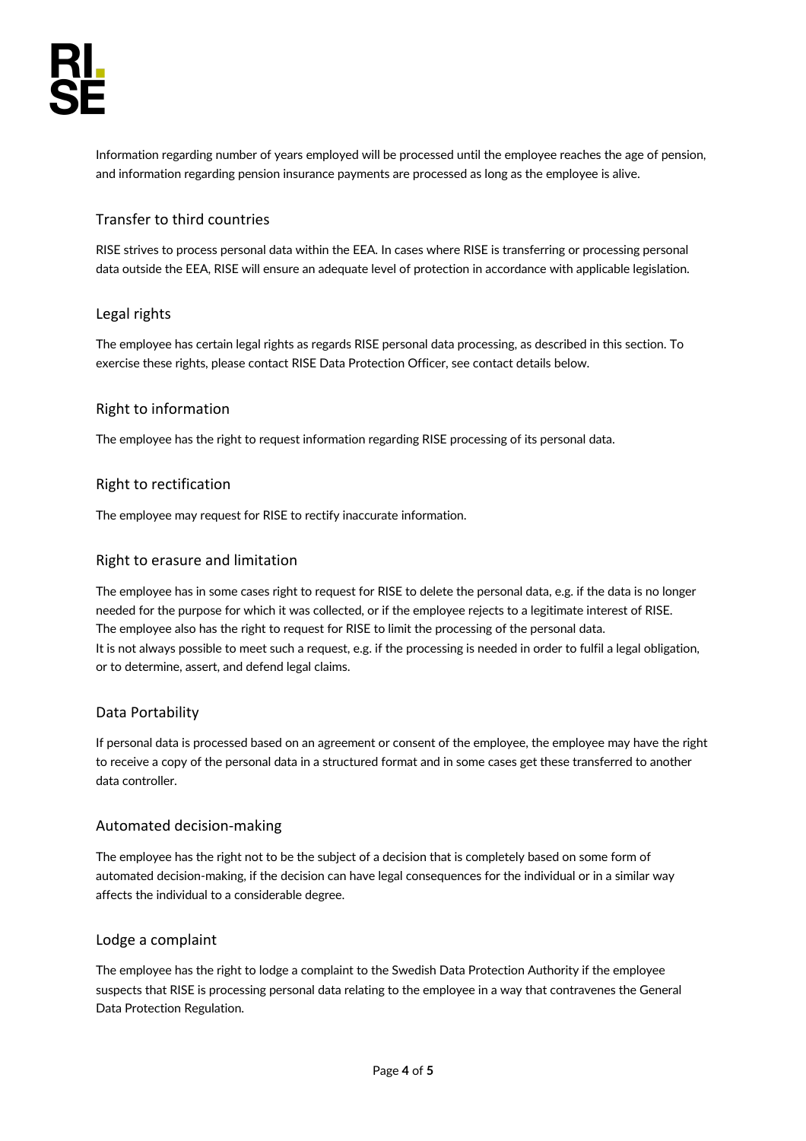Information regarding number of years employed will be processed until the employee reaches the age of pension, and information regarding pension insurance payments are processed as long as the employee is alive.

## Transfer to third countries

RISE strives to process personal data within the EEA. In cases where RISE is transferring or processing personal data outside the EEA, RISE will ensure an adequate level of protection in accordance with applicable legislation.

## Legal rights

The employee has certain legal rights as regards RISE personal data processing, as described in this section. To exercise these rights, please contact RISE Data Protection Officer, see contact details below.

## Right to information

The employee has the right to request information regarding RISE processing of its personal data.

### Right to rectification

The employee may request for RISE to rectify inaccurate information.

### Right to erasure and limitation

The employee has in some cases right to request for RISE to delete the personal data, e.g. if the data is no longer needed for the purpose for which it was collected, or if the employee rejects to a legitimate interest of RISE. The employee also has the right to request for RISE to limit the processing of the personal data. It is not always possible to meet such a request, e.g. if the processing is needed in order to fulfil a legal obligation, or to determine, assert, and defend legal claims.

#### Data Portability

If personal data is processed based on an agreement or consent of the employee, the employee may have the right to receive a copy of the personal data in a structured format and in some cases get these transferred to another data controller.

#### Automated decision-making

The employee has the right not to be the subject of a decision that is completely based on some form of automated decision-making, if the decision can have legal consequences for the individual or in a similar way affects the individual to a considerable degree.

#### Lodge a complaint

The employee has the right to lodge a complaint to the Swedish Data Protection Authority if the employee suspects that RISE is processing personal data relating to the employee in a way that contravenes the General Data Protection Regulation.